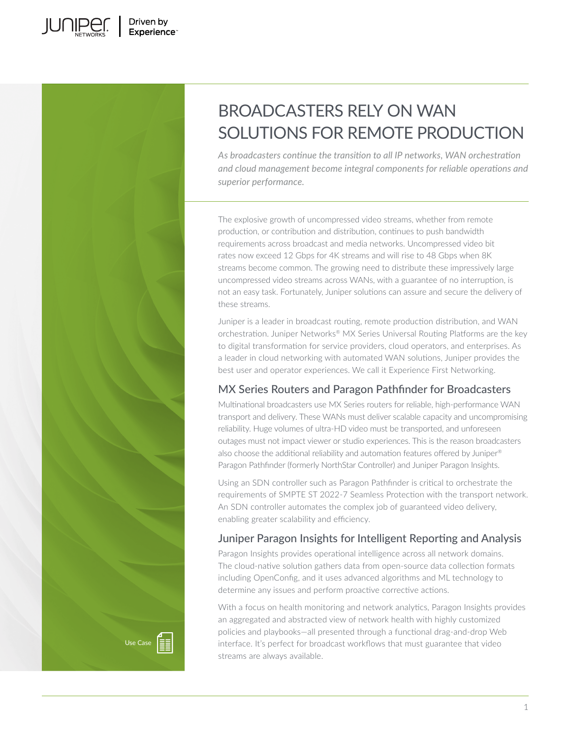

# BROADCASTERS RELY ON WAN SOLUTIONS FOR REMOTE PRODUCTION

*As broadcasters continue the transition to all IP networks, WAN orchestration and cloud management become integral components for reliable operations and superior performance.* 

The explosive growth of uncompressed video streams, whether from remote production, or contribution and distribution, continues to push bandwidth requirements across broadcast and media networks. Uncompressed video bit rates now exceed 12 Gbps for 4K streams and will rise to 48 Gbps when 8K streams become common. The growing need to distribute these impressively large uncompressed video streams across WANs, with a guarantee of no interruption, is not an easy task. Fortunately, Juniper solutions can assure and secure the delivery of these streams.

Juniper is a leader in broadcast routing, remote production distribution, and WAN orchestration. Juniper Networks® MX Series Universal Routing Platforms are the key to digital transformation for service providers, cloud operators, and enterprises. As a leader in cloud networking with automated WAN solutions, Juniper provides the best user and operator experiences. We call it Experience First Networking.

# MX Series Routers and Paragon Pathfinder for Broadcasters

Multinational broadcasters use MX Series routers for reliable, high-performance WAN transport and delivery. These WANs must deliver scalable capacity and uncompromising reliability. Huge volumes of ultra-HD video must be transported, and unforeseen outages must not impact viewer or studio experiences. This is the reason broadcasters also choose the additional reliability and automation features offered by Juniper® Paragon Pathfinder (formerly NorthStar Controller) and Juniper Paragon Insights.

Using an SDN controller such as Paragon Pathfinder is critical to orchestrate the requirements of SMPTE ST 2022-7 Seamless Protection with the transport network. An SDN controller automates the complex job of guaranteed video delivery, enabling greater scalability and efficiency.

# Juniper Paragon Insights for Intelligent Reporting and Analysis

Paragon Insights provides operational intelligence across all network domains. The cloud-native solution gathers data from open-source data collection formats including OpenConfig, and it uses advanced algorithms and ML technology to determine any issues and perform proactive corrective actions.

With a focus on health monitoring and network analytics, Paragon Insights provides an aggregated and abstracted view of network health with highly customized policies and playbooks—all presented through a functional drag-and-drop Web interface. It's perfect for broadcast workflows that must guarantee that video streams are always available.



1